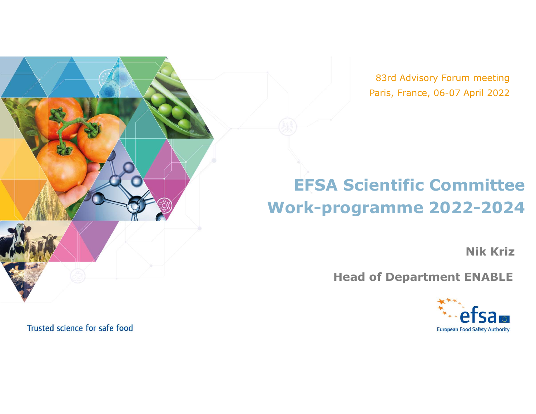83rd Advisory Forum meeting Paris, France, 06-07 April 2022

## EFSA Scientific Committee Work-programme 2022-2024

Nik Kriz

Head of Department ENABLE



Trusted science for safe food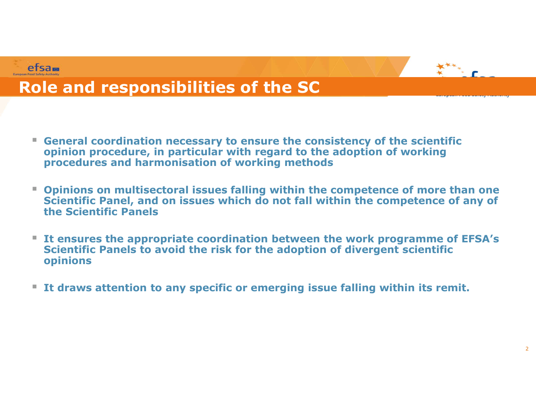



## Role and responsibilities of the SC

- General coordination necessary to ensure the consistency of the scientific opinion procedure, in particular with regard to the adoption of working procedures and harmonisation of working methods
- **Compete 2018 19 The SC Transformal is supposed to the SC**<br> **Conservant Control in the Conservant Conservant Conservant Conservant Conservant Conservant Conservant Conservant Conservant Conservant Conservant Conservant Con** Scientific Panel, and on issues which do not fall within the competence of any of the Scientific Panels
- It ensures the appropriate coordination between the work programme of EFSA's Scientific Panels to avoid the risk for the adoption of divergent scientific opinions
- **If draws attention to any specific or emerging issue falling within its remit.**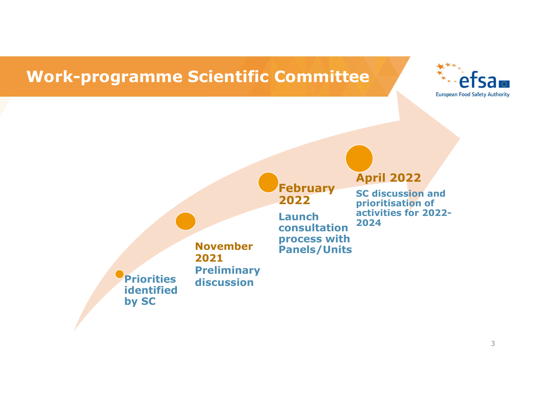## Work-programme Scientific Committee





## November 2021 **Preliminary**

# February<br>2022

Launch consultation process with Panels/Units

### April 2022

prioritisation of SC discussion and Prior 2022<br>
Prior Cod Safety Authority<br>
European Food Safety Authority<br>
Prior 2022<br>
SC discussion and<br>
prioritisation of<br>
activities for 2022-<br>
2024 activities for 2022- 2024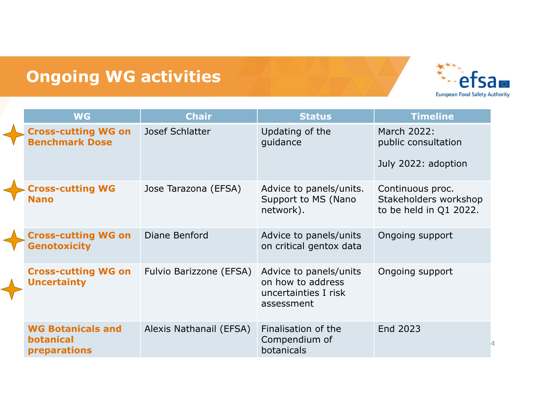## Ongoing WG activities



| <b>Ongoing WG activities</b><br><b>European Food Safety Authority</b> |                         |                                                                                   |                                                                     |  |  |
|-----------------------------------------------------------------------|-------------------------|-----------------------------------------------------------------------------------|---------------------------------------------------------------------|--|--|
| <b>WG</b>                                                             | <b>Chair</b>            | <b>Status</b>                                                                     | <b>Timeline</b>                                                     |  |  |
| <b>Cross-cutting WG on</b><br><b>Benchmark Dose</b>                   | Josef Schlatter         | Updating of the<br>guidance                                                       | March 2022:<br>public consultation<br>July 2022: adoption           |  |  |
| <b>Cross-cutting WG</b><br><b>Nano</b>                                | Jose Tarazona (EFSA)    | Advice to panels/units.<br>Support to MS (Nano<br>network).                       | Continuous proc.<br>Stakeholders workshop<br>to be held in Q1 2022. |  |  |
| <b>Cross-cutting WG on</b><br><b>Genotoxicity</b>                     | Diane Benford           | Advice to panels/units<br>on critical gentox data                                 | Ongoing support                                                     |  |  |
| <b>Cross-cutting WG on</b><br><b>Uncertainty</b>                      | Fulvio Barizzone (EFSA) | Advice to panels/units<br>on how to address<br>uncertainties I risk<br>assessment | Ongoing support                                                     |  |  |
| <b>WG Botanicals and</b><br><b>botanical</b><br>preparations          | Alexis Nathanail (EFSA) | Finalisation of the<br>Compendium of<br>botanicals                                | End 2023                                                            |  |  |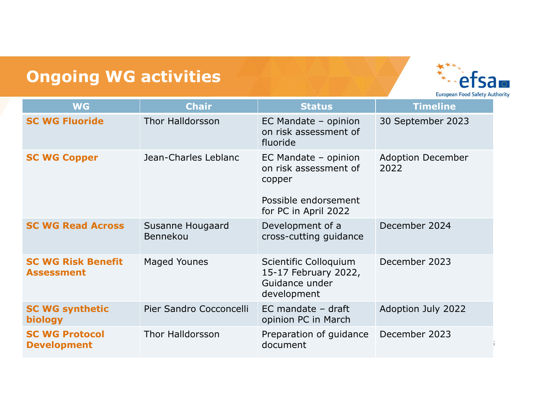## Ongoing WG activities



| <b>Ongoing WG activities</b>                   |                              |                                                                                                         | <b>European Food Safety Authority</b> |
|------------------------------------------------|------------------------------|---------------------------------------------------------------------------------------------------------|---------------------------------------|
| <b>WG</b>                                      | <b>Chair</b>                 | <b>Status</b>                                                                                           | <b>Timeline</b>                       |
| <b>SC WG Fluoride</b>                          | <b>Thor Halldorsson</b>      | EC Mandate - opinion<br>on risk assessment of<br>fluoride                                               | 30 September 2023                     |
| <b>SC WG Copper</b>                            | Jean-Charles Leblanc         | EC Mandate - opinion<br>on risk assessment of<br>copper<br>Possible endorsement<br>for PC in April 2022 | <b>Adoption December</b><br>2022      |
| <b>SC WG Read Across</b>                       | Susanne Hougaard<br>Bennekou | Development of a<br>cross-cutting guidance                                                              | December 2024                         |
| <b>SC WG Risk Benefit</b><br><b>Assessment</b> | <b>Maged Younes</b>          | Scientific Colloquium<br>15-17 February 2022,<br>Guidance under<br>development                          | December 2023                         |
| <b>SC WG synthetic</b><br>biology              | Pier Sandro Cocconcelli      | $EC$ mandate - draft<br>opinion PC in March                                                             | Adoption July 2022                    |
| <b>SC WG Protocol</b><br><b>Development</b>    | Thor Halldorsson             | Preparation of guidance<br>document                                                                     | December 2023                         |
|                                                |                              |                                                                                                         |                                       |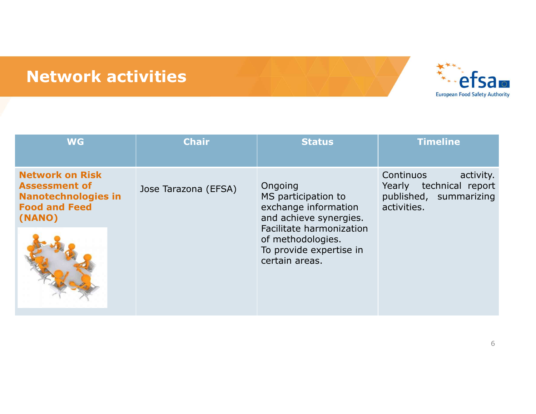## Network activities



| <b>Network activities</b>                                                                                      |                      |                                                                                                                                                                                | <b>European Food Safety Authority</b>                                                      |
|----------------------------------------------------------------------------------------------------------------|----------------------|--------------------------------------------------------------------------------------------------------------------------------------------------------------------------------|--------------------------------------------------------------------------------------------|
| <b>WG</b>                                                                                                      | <b>Chair</b>         | <b>Status</b>                                                                                                                                                                  | <b>Timeline</b>                                                                            |
| <b>Network on Risk</b><br><b>Assessment of</b><br><b>Nanotechnologies in</b><br><b>Food and Feed</b><br>(NANO) | Jose Tarazona (EFSA) | Ongoing<br>MS participation to<br>exchange information<br>and achieve synergies.<br>Facilitate harmonization<br>of methodologies.<br>To provide expertise in<br>certain areas. | Continuos<br>activity.<br>Yearly technical report<br>published, summarizing<br>activities. |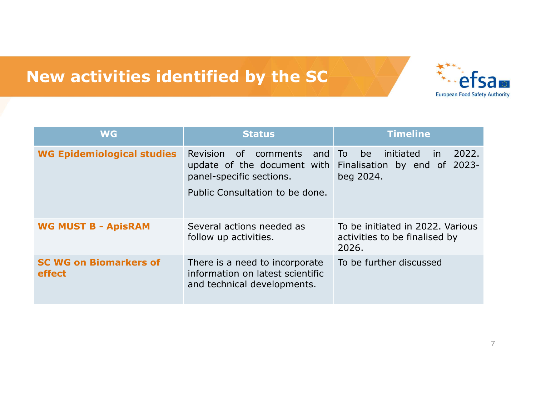## New activities identified by the SC



| <b>New activities identified by the SC</b> |                                                                                                                                 |                                                                              |
|--------------------------------------------|---------------------------------------------------------------------------------------------------------------------------------|------------------------------------------------------------------------------|
| <b>WG</b>                                  | <b>Status</b>                                                                                                                   | <b>European Food Safety Authority</b><br><b>Timeline</b>                     |
| <b>WG Epidemiological studies</b>          | Revision<br>of comments<br>and To<br>update of the document with<br>panel-specific sections.<br>Public Consultation to be done. | 2022.<br>initiated<br>be<br>in.<br>Finalisation by end of 2023-<br>beg 2024. |
| <b>WG MUST B - ApisRAM</b>                 | Several actions needed as<br>follow up activities.                                                                              | To be initiated in 2022. Various<br>activities to be finalised by<br>2026.   |
| <b>SC WG on Biomarkers of</b><br>effect    | There is a need to incorporate<br>information on latest scientific<br>and technical developments.                               | To be further discussed                                                      |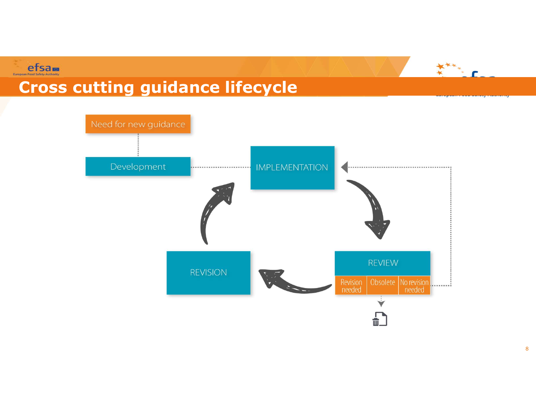



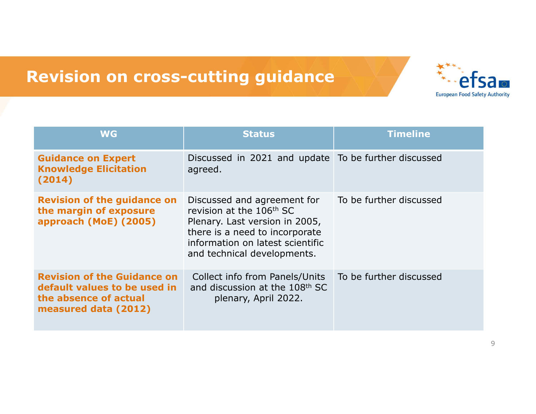## Revision on cross-cutting guidance



|                                                                                                                     | <b>Revision on cross-cutting guidance</b>                                                                                                                                                                  |                                       |
|---------------------------------------------------------------------------------------------------------------------|------------------------------------------------------------------------------------------------------------------------------------------------------------------------------------------------------------|---------------------------------------|
|                                                                                                                     |                                                                                                                                                                                                            | <b>European Food Safety Authority</b> |
| <b>WG</b>                                                                                                           | <b>Status</b>                                                                                                                                                                                              | <b>Timeline</b>                       |
| <b>Guidance on Expert</b><br><b>Knowledge Elicitation</b><br>(2014)                                                 | Discussed in 2021 and update To be further discussed<br>agreed.                                                                                                                                            |                                       |
| <b>Revision of the guidance on</b><br>the margin of exposure<br>approach (MoE) (2005)                               | Discussed and agreement for<br>revision at the 106 <sup>th</sup> SC<br>Plenary. Last version in 2005,<br>there is a need to incorporate<br>information on latest scientific<br>and technical developments. | To be further discussed               |
| <b>Revision of the Guidance on</b><br>default values to be used in<br>the absence of actual<br>measured data (2012) | Collect info from Panels/Units<br>and discussion at the 108th SC<br>plenary, April 2022.                                                                                                                   | To be further discussed               |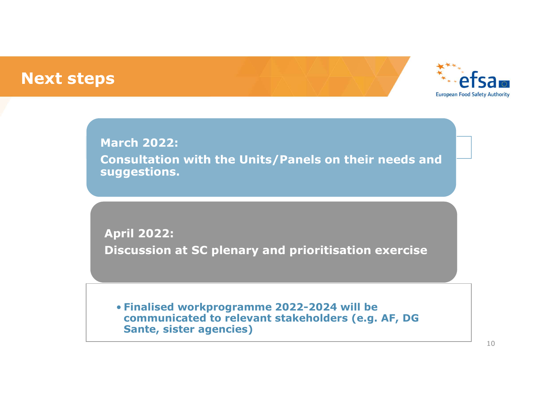## Next steps



March 2022: Consultation with the Units/Panels on their needs and suggestions. March 2022:<br>
March 2022:<br>
Consultation with the Units/Panels on their needs and<br>
Suggestions.<br>
April 2022:<br>
Discussion at SC plenary and prioritisation exercise

April 2022:

• Finalised workprogramme 2022-2024 will be communicated to relevant stakeholders (e.g. AF, DG Sante, sister agencies)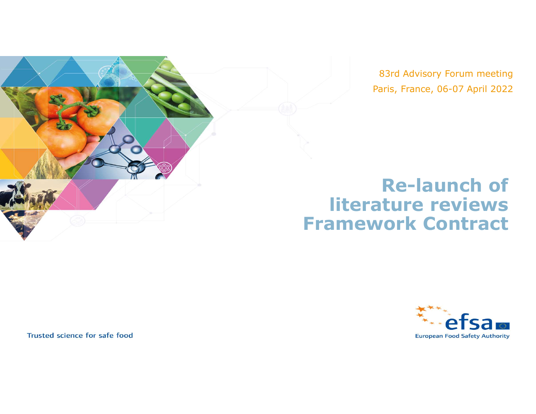

83rd Advisory Forum meeting Paris, France, 06-07 April 2022

## Re-launch of literature reviews Framework Contract



Trusted science for safe food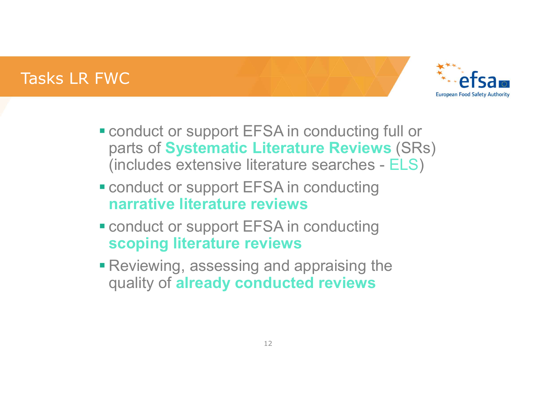## Tasks LR FWC



- conduct or support EFSA in conducting full or parts of Systematic Literature Reviews (SRs) (includes extensive literature searches - ELS)
- **Example 1 conduct or support EFSA in conducting** narrative literature reviews
- **Example 2 conduct or support EFSA in conducting** scoping literature reviews
- **Reviewing, assessing and appraising the** quality of **already conducted reviews**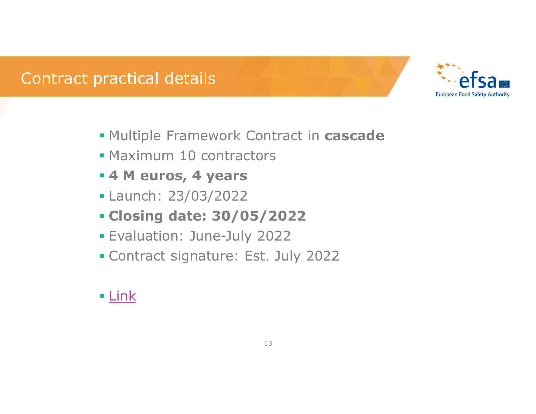## Contract practical details



- **Multiple Framework Contract in cascade**
- **Maximum 10 contractors**
- 4 M euros, 4 years
- Launch: 23/03/2022
- Closing date: 30/05/2022
- Evaluation: June-July 2022
- Contract signature: Est. July 2022

## **Link**